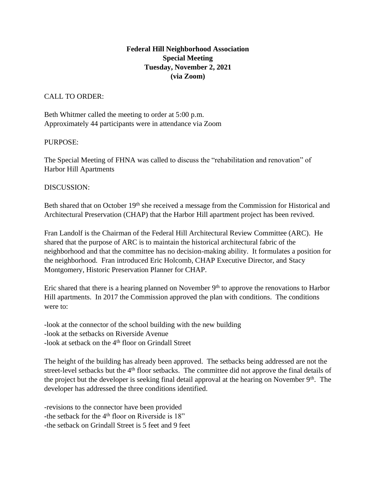## **Federal Hill Neighborhood Association Special Meeting Tuesday, November 2, 2021 (via Zoom)**

## CALL TO ORDER:

Beth Whitmer called the meeting to order at 5:00 p.m. Approximately 44 participants were in attendance via Zoom

## PURPOSE:

The Special Meeting of FHNA was called to discuss the "rehabilitation and renovation" of Harbor Hill Apartments

## DISCUSSION:

Beth shared that on October 19<sup>th</sup> she received a message from the Commission for Historical and Architectural Preservation (CHAP) that the Harbor Hill apartment project has been revived.

Fran Landolf is the Chairman of the Federal Hill Architectural Review Committee (ARC). He shared that the purpose of ARC is to maintain the historical architectural fabric of the neighborhood and that the committee has no decision-making ability. It formulates a position for the neighborhood. Fran introduced Eric Holcomb, CHAP Executive Director, and Stacy Montgomery, Historic Preservation Planner for CHAP.

Eric shared that there is a hearing planned on November  $9<sup>th</sup>$  to approve the renovations to Harbor Hill apartments. In 2017 the Commission approved the plan with conditions. The conditions were to:

-look at the connector of the school building with the new building -look at the setbacks on Riverside Avenue -look at setback on the  $4<sup>th</sup>$  floor on Grindall Street

The height of the building has already been approved. The setbacks being addressed are not the street-level setbacks but the 4<sup>th</sup> floor setbacks. The committee did not approve the final details of the project but the developer is seeking final detail approval at the hearing on November 9<sup>th</sup>. The developer has addressed the three conditions identified.

-revisions to the connector have been provided -the setback for the 4<sup>th</sup> floor on Riverside is 18" -the setback on Grindall Street is 5 feet and 9 feet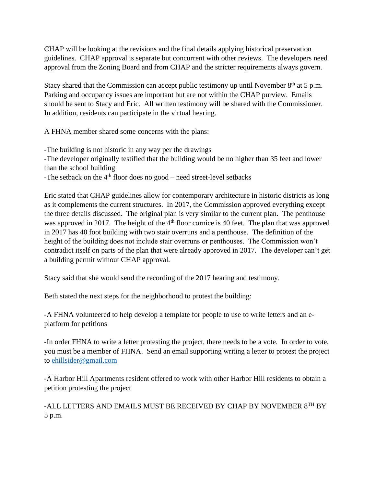CHAP will be looking at the revisions and the final details applying historical preservation guidelines. CHAP approval is separate but concurrent with other reviews. The developers need approval from the Zoning Board and from CHAP and the stricter requirements always govern.

Stacy shared that the Commission can accept public testimony up until November  $8<sup>th</sup>$  at 5 p.m. Parking and occupancy issues are important but are not within the CHAP purview. Emails should be sent to Stacy and Eric. All written testimony will be shared with the Commissioner. In addition, residents can participate in the virtual hearing.

A FHNA member shared some concerns with the plans:

-The building is not historic in any way per the drawings -The developer originally testified that the building would be no higher than 35 feet and lower than the school building -The setback on the  $4<sup>th</sup>$  floor does no good – need street-level setbacks

Eric stated that CHAP guidelines allow for contemporary architecture in historic districts as long as it complements the current structures. In 2017, the Commission approved everything except the three details discussed. The original plan is very similar to the current plan. The penthouse was approved in 2017. The height of the 4<sup>th</sup> floor cornice is 40 feet. The plan that was approved in 2017 has 40 foot building with two stair overruns and a penthouse. The definition of the height of the building does not include stair overruns or penthouses. The Commission won't contradict itself on parts of the plan that were already approved in 2017. The developer can't get a building permit without CHAP approval.

Stacy said that she would send the recording of the 2017 hearing and testimony.

Beth stated the next steps for the neighborhood to protest the building:

-A FHNA volunteered to help develop a template for people to use to write letters and an eplatform for petitions

-In order FHNA to write a letter protesting the project, there needs to be a vote. In order to vote, you must be a member of FHNA. Send an email supporting writing a letter to protest the project to [ehillsider@gmail.com](mailto:ehillsider@gmail.com) 

-A Harbor Hill Apartments resident offered to work with other Harbor Hill residents to obtain a petition protesting the project

-ALL LETTERS AND EMAILS MUST BE RECEIVED BY CHAP BY NOVEMBER 8TH BY 5 p.m.